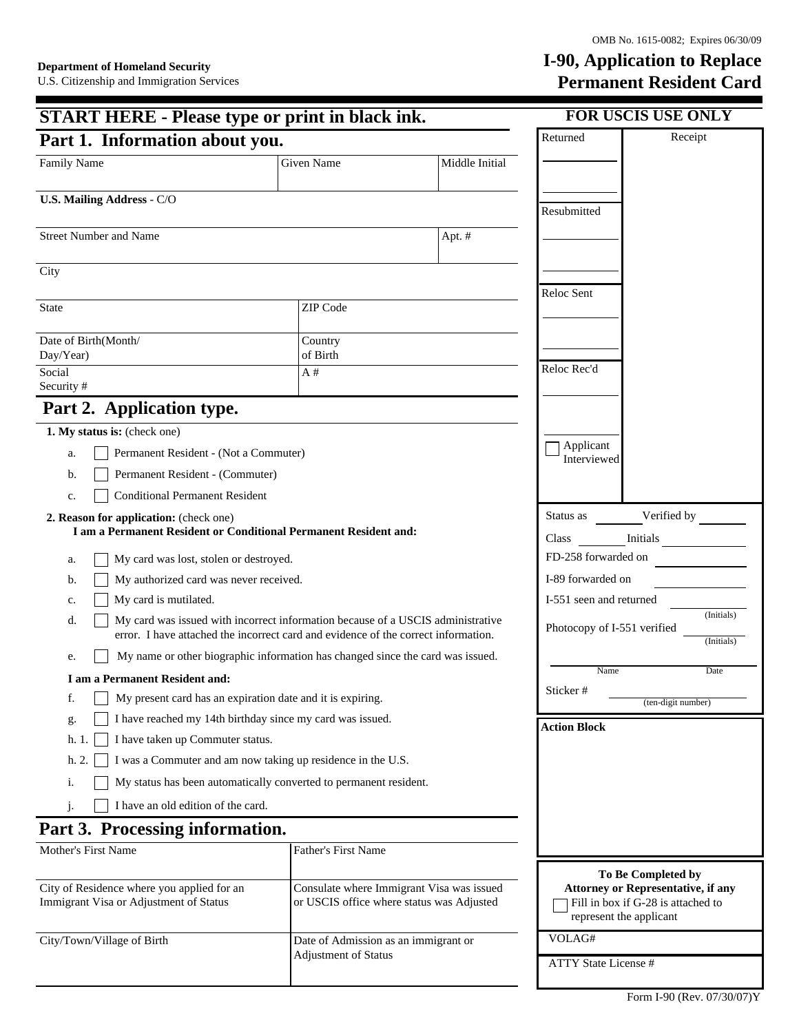## I-90, Application to Replace Permanent Resident Card

| <b>START HERE - Please type or print in black ink.</b>                                                                                                                         |                                                         |                | <b>FOR USCIS USE ONLY</b>                                                                                  |  |
|--------------------------------------------------------------------------------------------------------------------------------------------------------------------------------|---------------------------------------------------------|----------------|------------------------------------------------------------------------------------------------------------|--|
| Part 1. Information about you.                                                                                                                                                 | Returned<br>Receipt                                     |                |                                                                                                            |  |
| Family Name                                                                                                                                                                    | <b>Given Name</b>                                       | Middle Initial |                                                                                                            |  |
| <b>U.S. Mailing Address - C/O</b>                                                                                                                                              |                                                         |                |                                                                                                            |  |
|                                                                                                                                                                                |                                                         |                | Resubmitted                                                                                                |  |
| <b>Street Number and Name</b>                                                                                                                                                  |                                                         | Apt. $#$       |                                                                                                            |  |
| City                                                                                                                                                                           |                                                         |                |                                                                                                            |  |
| ZIP Code<br><b>State</b>                                                                                                                                                       |                                                         |                | Reloc Sent                                                                                                 |  |
|                                                                                                                                                                                |                                                         |                |                                                                                                            |  |
| Date of Birth(Month/<br>Day/Year)                                                                                                                                              | Country<br>of Birth                                     |                |                                                                                                            |  |
| Social<br>Security #                                                                                                                                                           | A#                                                      |                | Reloc Rec'd                                                                                                |  |
| Part 2. Application type.                                                                                                                                                      |                                                         |                |                                                                                                            |  |
| 1. My status is: (check one)                                                                                                                                                   |                                                         |                |                                                                                                            |  |
| Permanent Resident - (Not a Commuter)<br>a.                                                                                                                                    | Applicant<br>Interviewed                                |                |                                                                                                            |  |
| Permanent Resident - (Commuter)<br>b.                                                                                                                                          |                                                         |                |                                                                                                            |  |
| <b>Conditional Permanent Resident</b><br>c.                                                                                                                                    |                                                         |                |                                                                                                            |  |
| 2. Reason for application: (check one)                                                                                                                                         |                                                         |                | Verified by<br>Status as                                                                                   |  |
| I am a Permanent Resident or Conditional Permanent Resident and:                                                                                                               |                                                         |                | Initials<br>Class                                                                                          |  |
| My card was lost, stolen or destroyed.<br>a.                                                                                                                                   |                                                         |                | FD-258 forwarded on                                                                                        |  |
| My authorized card was never received.<br>b.                                                                                                                                   |                                                         |                | I-89 forwarded on                                                                                          |  |
| My card is mutilated.<br>c.                                                                                                                                                    | I-551 seen and returned                                 |                |                                                                                                            |  |
| My card was issued with incorrect information because of a USCIS administrative<br>d.<br>error. I have attached the incorrect card and evidence of the correct information.    | (Initials)<br>Photocopy of I-551 verified<br>(Initials) |                |                                                                                                            |  |
| My name or other biographic information has changed since the card was issued.<br>e.                                                                                           |                                                         |                |                                                                                                            |  |
| I am a Permanent Resident and:                                                                                                                                                 | Date<br>Name                                            |                |                                                                                                            |  |
| My present card has an expiration date and it is expiring.<br>f.                                                                                                               | Sticker #<br>(ten-digit number)                         |                |                                                                                                            |  |
| I have reached my 14th birthday since my card was issued.<br>g.                                                                                                                | <b>Action Block</b>                                     |                |                                                                                                            |  |
| I have taken up Commuter status.<br>h. 1.                                                                                                                                      |                                                         |                |                                                                                                            |  |
| I was a Commuter and am now taking up residence in the U.S.<br>h. 2.                                                                                                           |                                                         |                |                                                                                                            |  |
| My status has been automatically converted to permanent resident.<br>i.                                                                                                        |                                                         |                |                                                                                                            |  |
| I have an old edition of the card.<br>$\mathbf{i}$ .                                                                                                                           |                                                         |                |                                                                                                            |  |
| Part 3. Processing information.                                                                                                                                                |                                                         |                |                                                                                                            |  |
| Mother's First Name                                                                                                                                                            | Father's First Name                                     |                |                                                                                                            |  |
|                                                                                                                                                                                |                                                         |                | To Be Completed by                                                                                         |  |
| City of Residence where you applied for an<br>Consulate where Immigrant Visa was issued<br>Immigrant Visa or Adjustment of Status<br>or USCIS office where status was Adjusted |                                                         |                | <b>Attorney or Representative, if any</b><br>Fill in box if G-28 is attached to<br>represent the applicant |  |
| City/Town/Village of Birth                                                                                                                                                     | Date of Admission as an immigrant or                    |                | VOLAG#                                                                                                     |  |
|                                                                                                                                                                                | <b>Adjustment of Status</b>                             |                | <b>ATTY State License #</b>                                                                                |  |